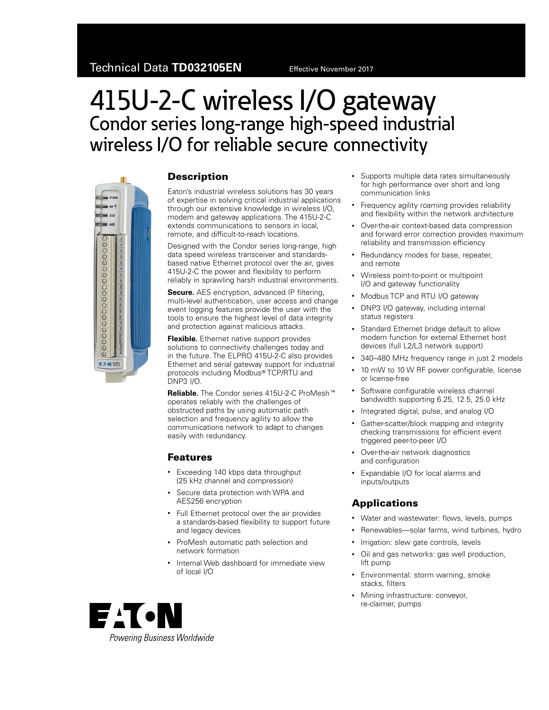# 415U-2-C wireless I/O gateway Condor series long-range high-speed industrial wireless I/O for reliable secure connectivity



#### **Description**

Eaton's industrial wireless solutions has 30 years of expertise in solving critical industrial applications through our extensive knowledge in wireless I/O, modem and gateway applications. The 415U-2-C extends communications to sensors in local, remote, and difficult-to-reach locations.

Designed with the Condor series long-range, high data speed wireless transceiver and standardsbased native Ethernet protocol over the air, gives 415U-2-C the power and flexibility to perform reliably in sprawling harsh industrial environments.

**Secure.** AES encryption, advanced IP filtering, multi-level authentication, user access and change event logging features provide the user with the tools to ensure the highest level of data integrity and protection against malicious attacks.

**Flexible.** Ethernet native support provides solutions to connectivity challenges today and in the future. The ELPRO 415U-2-C also provides Ethernet and serial gateway support for industrial protocols including Modbus® TCP/RTU and DNP3 I/O.

**Reliable.** The Condor series 415U-2-C ProMesh<sup>™</sup> operates reliably with the challenges of obstructed paths by using automatic path selection and frequency agility to allow the communications network to adapt to changes easily with redundancy.

#### Features

- Exceeding 140 kbps data throughput (25 kHz channel and compression)
- Secure data protection with WPA and AES256 encryption
- Full Ethernet protocol over the air provides a standards-based flexibility to support future and legacy devices
- ProMesh automatic path selection and network formation
- Internal Web dashboard for immediate view of local I/O
- Supports multiple data rates simultaneously for high performance over short and long communication links
- Frequency agility roaming provides reliability and flexibility within the network architecture
- Over-the-air context-based data compression and forward error correction provides maximum reliability and transmission efficiency
- Redundancy modes for base, repeater, and remote
- Wireless point-to-point or multipoint I/O and gateway functionality
- Modbus TCP and RTU I/O gateway
- DNP3 I/O gateway, including internal status registers
- Standard Ethernet bridge default to allow modem function for external Ethernet host devices (full L2/L3 network support)
- 340–480 MHz frequency range in just 2 models
- 10 mW to 10 W RF power configurable, license or license-free
- Software configurable wireless channel bandwidth supporting 6.25, 12.5, 25.0 kHz
- Integrated digital, pulse, and analog I/O
- Gather-scatter/block mapping and integrity checking transmissions for efficient event triggered peer-to-peer I/O
- Over-the-air network diagnostics and configuration
- Expandable I/O for local alarms and inputs/outputs

### Applications

- Water and wastewater: flows, levels, pumps
- Renewables—solar farms, wind turbines, hydro
- Irrigation: slew gate controls, levels
- Oil and gas networks: gas well production, lift pump
- Environmental: storm warning, smoke stacks, filters
- Mining infrastructure: conveyor, re-claimer, pumps

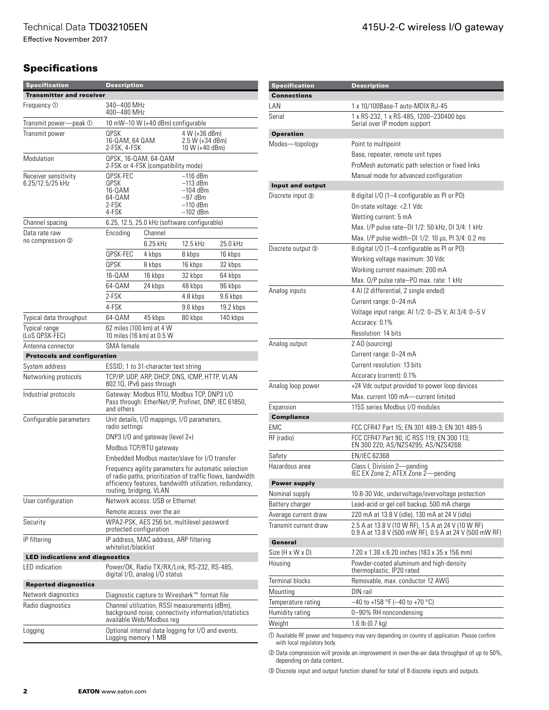Effective November 2017

## **Specifications**

| <b>Specification</b>                     | Description                                                                                                                                                                                              |                                      |                                                                       |           |
|------------------------------------------|----------------------------------------------------------------------------------------------------------------------------------------------------------------------------------------------------------|--------------------------------------|-----------------------------------------------------------------------|-----------|
| <b>Transmitter and receiver</b>          |                                                                                                                                                                                                          |                                      |                                                                       |           |
| Frequency 1                              | 340–400 MHz<br>400-480 MHz                                                                                                                                                                               |                                      |                                                                       |           |
| Transmit power-<br>-peak ①               | 10 mW-10 W (+40 dBm) configurable                                                                                                                                                                        |                                      |                                                                       |           |
| Transmit power                           | <b>QPSK</b><br>16-QAM, 64 QAM<br>2-FSK, 4-FSK                                                                                                                                                            |                                      | 4 W (+36 dBm)<br>2.5 W (+34 dBm)<br>10 W (+40 dBm)                    |           |
| Modulation                               | QPSK, 16-QAM, 64-QAM<br>2-FSK or 4-FSK (compatibility mode)                                                                                                                                              |                                      |                                                                       |           |
| Receiver sensitivity<br>6.25/12.5/25 kHz | QPSK-FEC<br>QPSK<br>16-0AM<br>64-0AM<br>2-FSK<br>4-FSK                                                                                                                                                   |                                      | –116 dBm<br>–113 dBm<br>–104 dBm<br>–97 dBm<br>–110 dBm<br>$-102$ dBm |           |
| Channel spacing                          |                                                                                                                                                                                                          |                                      | 6.25, 12.5, 25.0 kHz (software configurable)                          |           |
| Data rate raw                            | Encoding                                                                                                                                                                                                 | Channel                              |                                                                       |           |
| no compression ②                         |                                                                                                                                                                                                          | 6.25 kHz                             | 12.5 kHz                                                              | 25.0 kHz  |
|                                          | QPSK-FEC                                                                                                                                                                                                 | 4 kbps                               | 8 kbps                                                                | 16 kbps   |
|                                          | <b>QPSK</b>                                                                                                                                                                                              | 8 kbps                               | 16 kbps                                                               | 32 kbps   |
|                                          | 16-0AM                                                                                                                                                                                                   | 16 kbps                              | 32 kbps                                                               | 64 kbps   |
|                                          | 64-0AM                                                                                                                                                                                                   | 24 kbps                              | 48 kbps                                                               | 96 kbps   |
|                                          | 2-FSK                                                                                                                                                                                                    |                                      | 4.8 kbps                                                              | 9.6 kbps  |
|                                          | 4-FSK                                                                                                                                                                                                    |                                      | 9.6 kbps                                                              | 19.2 kbps |
| Typical data throughput                  | 64-0AM                                                                                                                                                                                                   | 45 kbps                              | 80 kbps                                                               | 140 kbps  |
| <b>Typical range</b><br>(LoS QPSK-FEC)   | 62 miles (100 km) at 4 W                                                                                                                                                                                 | 10 miles (16 km) at 0.5 W            |                                                                       |           |
| Antenna connector                        | SMA female                                                                                                                                                                                               |                                      |                                                                       |           |
| <b>Protocols and configuration</b>       |                                                                                                                                                                                                          |                                      |                                                                       |           |
| System address                           |                                                                                                                                                                                                          | ESSID; 1 to 31-character text string |                                                                       |           |
| Networking protocols                     | TCP/IP, UDP, ARP, DHCP, DNS, ICMP, HTTP, VLAN<br>802.10, IPv6 pass through                                                                                                                               |                                      |                                                                       |           |
| Industrial protocols                     | Gateway: Modbus RTU, Modbus TCP, DNP3 I/O<br>Pass through: EtherNet/IP, Profinet, DNP, IEC 61850,<br>and others                                                                                          |                                      |                                                                       |           |
| Configurable parameters                  | radio settings                                                                                                                                                                                           |                                      | Unit details, I/O mappings, I/O parameters,                           |           |
|                                          |                                                                                                                                                                                                          | DNP3 I/O and gateway (level 2+)      |                                                                       |           |
|                                          |                                                                                                                                                                                                          | Modbus TCP/RTU gateway               |                                                                       |           |
|                                          |                                                                                                                                                                                                          |                                      | Embedded Modbus master/slave for I/O transfer                         |           |
|                                          | Frequency agility parameters for automatic selection<br>of radio paths, prioritization of traffic flows, bandwidth<br>efficiency features, bandwidth utilization, redundancy,<br>routing, bridging, VLAN |                                      |                                                                       |           |
| User configuration                       |                                                                                                                                                                                                          | Network access: USB or Ethernet      |                                                                       |           |
|                                          |                                                                                                                                                                                                          | Remote access: over the air          |                                                                       |           |
| Security                                 | WPA2-PSK, AES 256 bit, multilevel password<br>protected configuration                                                                                                                                    |                                      |                                                                       |           |
| IP filtering                             | IP address, MAC address, ARP filtering<br>whitelist/blacklist                                                                                                                                            |                                      |                                                                       |           |
| <b>LED indications and diagnostics</b>   |                                                                                                                                                                                                          |                                      |                                                                       |           |
| LED indication                           |                                                                                                                                                                                                          | digital I/O, analog I/O status       | Power/OK, Radio TX/RX/Link, RS-232, RS-485,                           |           |
| <b>Reported diagnostics</b>              |                                                                                                                                                                                                          |                                      |                                                                       |           |
| Network diagnostics                      |                                                                                                                                                                                                          |                                      | Diagnostic capture to Wireshark™ format file                          |           |
| Radio diagnostics                        | Channel utilization, RSSI measurements (dBm),<br>background noise, connectivity information/statistics<br>available Web/Modbus reg                                                                       |                                      |                                                                       |           |
| Logging                                  | Logging memory 1 MB                                                                                                                                                                                      |                                      | Optional internal data logging for I/O and events.                    |           |

| <b>Specification</b>                                                                            | <b>Description</b>                                                                                           |  |  |  |
|-------------------------------------------------------------------------------------------------|--------------------------------------------------------------------------------------------------------------|--|--|--|
| <b>Connections</b>                                                                              |                                                                                                              |  |  |  |
| LAN                                                                                             | 1 x 10/100Base-T auto-MDIX RJ-45                                                                             |  |  |  |
| Serial                                                                                          | 1 x RS-232, 1 x RS-485, 1200-230400 bps<br>Serial over IP modem support                                      |  |  |  |
| <b>Operation</b>                                                                                |                                                                                                              |  |  |  |
| Modes-topology                                                                                  | Point to multipoint                                                                                          |  |  |  |
|                                                                                                 | Base, repeater, remote unit types                                                                            |  |  |  |
|                                                                                                 | ProMesh automatic path selection or fixed links                                                              |  |  |  |
|                                                                                                 | Manual mode for advanced configuration                                                                       |  |  |  |
| Input and output                                                                                |                                                                                                              |  |  |  |
| Discrete input <sup>3</sup>                                                                     | 8 digital I/O (1-4 configurable as PI or PO)                                                                 |  |  |  |
|                                                                                                 | On-state voltage: <2.1 Vdc                                                                                   |  |  |  |
|                                                                                                 | Wetting current: 5 mA                                                                                        |  |  |  |
|                                                                                                 | Max. I/P pulse rate-DI 1/2: 50 kHz, DI 3/4: 1 kHz                                                            |  |  |  |
|                                                                                                 | Max. I/P pulse width-DI 1/2: 10 µs, PI 3/4: 0.2 ms                                                           |  |  |  |
| Discrete output 3                                                                               | 8 digital I/O (1-4 configurable as PI or PO)                                                                 |  |  |  |
|                                                                                                 | Working voltage maximum: 30 Vdc                                                                              |  |  |  |
|                                                                                                 | Working current maximum: 200 mA                                                                              |  |  |  |
|                                                                                                 | Max. O/P pulse rate-PO max. rate: 1 kHz                                                                      |  |  |  |
| Analog inputs                                                                                   | 4 AI (2 differential, 2 single ended)                                                                        |  |  |  |
|                                                                                                 | Current range: 0-24 mA                                                                                       |  |  |  |
|                                                                                                 | Voltage input range: Al 1/2: 0–25 V, Al 3/4: 0–5 V                                                           |  |  |  |
|                                                                                                 | Accuracy: 0.1%<br>Resolution: 14 bits                                                                        |  |  |  |
|                                                                                                 |                                                                                                              |  |  |  |
| Analog output                                                                                   | 2 AO (sourcing)<br>Current range: 0-24 mA                                                                    |  |  |  |
|                                                                                                 | Current resolution: 13 bits                                                                                  |  |  |  |
|                                                                                                 | Accuracy (current): 0.1%                                                                                     |  |  |  |
| Analog loop power                                                                               | +24 Vdc output provided to power loop devices                                                                |  |  |  |
|                                                                                                 | Max. current 100 mA-current limited                                                                          |  |  |  |
| Expansion                                                                                       | 115S series Modbus I/O modules                                                                               |  |  |  |
| <b>Compliance</b>                                                                               |                                                                                                              |  |  |  |
| EMC                                                                                             | FCC CFR47 Part 15; EN 301 489-3; EN 301 489-5                                                                |  |  |  |
| RF (radio)                                                                                      | FCC CFR47 Part 90; IC RSS 119; EN 300 113;<br>EN 300 220; AS/NZS4295; AS/NZS4268                             |  |  |  |
| Safety                                                                                          | <b>EN/IEC 62368</b>                                                                                          |  |  |  |
| Hazardous area                                                                                  | Class I, Division 2-pending<br>IEC EX Zone 2; ATEX Zone 2-pending                                            |  |  |  |
| <b>Power supply</b>                                                                             |                                                                                                              |  |  |  |
| Nominal supply                                                                                  | 10.8-30 Vdc, undervoltage/overvoltage protection                                                             |  |  |  |
| Battery charger                                                                                 | Lead-acid or gel cell backup, 500 mA charge                                                                  |  |  |  |
| Average current draw                                                                            | 220 mA at 13.8 V (idle), 130 mA at 24 V (idle)                                                               |  |  |  |
| Transmit current draw                                                                           | 2.5 A at 13.8 V (10 W RF), 1.5 A at 24 V (10 W RF)<br>0.9 A at 13.8 V (500 mW RF), 0.5 A at 24 V (500 mW RF) |  |  |  |
| General<br>Size (H x W x D)                                                                     | 7.20 x 1.38 x 6.20 inches (183 x 35 x 156 mm)                                                                |  |  |  |
| Housing                                                                                         | Powder-coated aluminum and high-density                                                                      |  |  |  |
|                                                                                                 | thermoplastic, IP20 rated                                                                                    |  |  |  |
| <b>Terminal blocks</b>                                                                          | Removable, max. conductor 12 AWG                                                                             |  |  |  |
| Mounting                                                                                        | DIN rail                                                                                                     |  |  |  |
| Temperature rating                                                                              | $-40$ to +158 °F (-40 to +70 °C)                                                                             |  |  |  |
| Humidity rating<br>Weight                                                                       | 0-90% RH noncondensing<br>1.6 lb $(0.7 \text{ kg})$                                                          |  |  |  |
|                                                                                                 |                                                                                                              |  |  |  |
| ① Available RF power and frequency may vary depending on country of application. Please confirm |                                                                                                              |  |  |  |

<span id="page-1-0"></span>icy may vary depending on country or app with local regulatory body.

<span id="page-1-1"></span><sup>2</sup> Data compression will provide an improvement in over-the-air data throughput of up to 50%, depending on data content..

<span id="page-1-2"></span>**3** Discrete input and output function shared for total of 8 discrete inputs and outputs.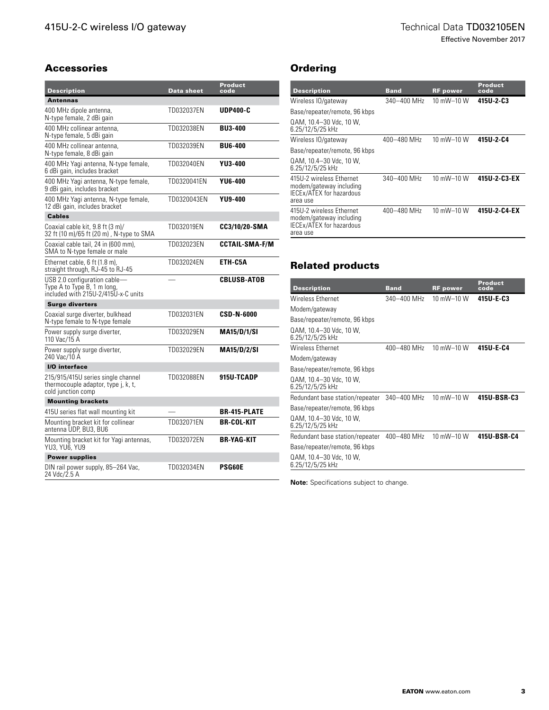Effective November 2017

#### Accessories

| <b>Description</b>                                                                                 | <b>Data sheet</b> | <b>Product</b><br>code |
|----------------------------------------------------------------------------------------------------|-------------------|------------------------|
| <b>Antennas</b>                                                                                    |                   |                        |
| 400 MHz dipole antenna,<br>N-type female, 2 dBi gain                                               | TD032037EN        | <b>UDP400-C</b>        |
| 400 MHz collinear antenna,<br>N-type female, 5 dBi gain                                            | TD032038EN        | <b>BU3-400</b>         |
| 400 MHz collinear antenna.<br>N-type female, 8 dBi gain                                            | TD032039EN        | <b>BU6-400</b>         |
| 400 MHz Yagi antenna, N-type female,<br>6 dBi gain, includes bracket                               | TD032040EN        | YU3-400                |
| 400 MHz Yagi antenna, N-type female,<br>9 dBi gain, includes bracket                               | TD0320041EN       | YU6-400                |
| 400 MHz Yagi antenna, N-type female,<br>12 dBi gain, includes bracket                              | TD0320043EN       | <b>YU9-400</b>         |
| <b>Cables</b>                                                                                      |                   |                        |
| Coaxial cable kit. 9.8 ft (3 m)/<br>32 ft (10 m)/65 ft (20 m), N-type to SMA                       | TD032019EN        | CC3/10/20-SMA          |
| Coaxial cable tail, 24 in (600 mm),<br>SMA to N-type female or male                                | TD032023EN        | <b>CCTAIL-SMA-F/M</b>  |
| Ethernet cable, 6 ft (1.8 m),<br>straight through, RJ-45 to RJ-45                                  | TD032024EN        | ETH-C5A                |
| USB 2.0 configuration cable-<br>Type A to Type B, 1 m long,<br>included with 215U-2/415U-x-C units |                   | <b>CBLUSB-ATOB</b>     |
| <b>Surge diverters</b>                                                                             |                   |                        |
| Coaxial surge diverter, bulkhead<br>N-type female to N-type female                                 | TD032031EN        | <b>CSD-N-6000</b>      |
| Power supply surge diverter,<br>110 Vac/15 A                                                       | TD032029EN        | <b>MA15/D/1/SI</b>     |
| Power supply surge diverter,<br>240 Vac/10 A                                                       | TD032029EN        | <b>MA15/D/2/SI</b>     |
| I/O interface                                                                                      |                   |                        |
| 215/915/415U series single channel<br>thermocouple adaptor, type j, k, t,<br>cold junction comp    | TD032088EN        | 915U-TCADP             |
| <b>Mounting brackets</b>                                                                           |                   |                        |
| 415U series flat wall mounting kit                                                                 |                   | <b>BR-415-PLATE</b>    |
| Mounting bracket kit for collinear<br>antenna UDP, BU3, BU6                                        | TD032071EN        | <b>BR-COL-KIT</b>      |
| Mounting bracket kit for Yagi antennas,<br>YU3, YU6, YU9                                           | TD032072EN        | <b>BR-YAG-KIT</b>      |
| <b>Power supplies</b>                                                                              |                   |                        |
| DIN rail power supply, 85–264 Vac,<br>24 Vdc/2.5 A                                                 | TD032034EN        | <b>PSG60E</b>          |

## **Ordering**

| <b>Description</b>                                                                                 | <b>Band</b> | <b>RF</b> power | <b>Product</b><br>code |
|----------------------------------------------------------------------------------------------------|-------------|-----------------|------------------------|
| Wireless IO/gateway                                                                                | 340-400 MHz | 10 mW-10 W      | 415U-2-C3              |
| Base/repeater/remote, 96 kbps                                                                      |             |                 |                        |
| QAM, 10.4-30 Vdc, 10 W.<br>6.25/12/5/25 kHz                                                        |             |                 |                        |
| Wireless IO/gateway                                                                                | 400-480 MHz | 10 mW-10 W      | 415U-2-C4              |
| Base/repeater/remote, 96 kbps                                                                      |             |                 |                        |
| QAM, 10.4-30 Vdc, 10 W.<br>6.25/12/5/25 kHz                                                        |             |                 |                        |
| 415U-2 wireless Ethernet<br>modem/gateway including<br><b>IECEX/ATEX for hazardous</b><br>area use | 340-400 MHz | 10 mW-10 W      | 415U-2-C3-EX           |
| 415U-2 wireless Ethernet<br>modem/gateway including<br><b>IECEX/ATEX for hazardous</b><br>area use | 400-480 MHz | 10 mW-10 W      | 415U-2-C4-EX           |

# Related products

| <b>Description</b>                          | <b>Band</b> | <b>RF</b> power | Product<br>code |
|---------------------------------------------|-------------|-----------------|-----------------|
| <b>Wireless Ethernet</b>                    | 340-400 MHz | 10 mW-10 W      | 415U-E-C3       |
| Modem/gateway                               |             |                 |                 |
| Base/repeater/remote, 96 kbps               |             |                 |                 |
| QAM, 10.4-30 Vdc, 10 W.<br>6.25/12/5/25 kHz |             |                 |                 |
| <b>Wireless Ethernet</b>                    | 400-480 MHz | 10 mW-10 W      | 415U-E-C4       |
| Modem/gateway                               |             |                 |                 |
| Base/repeater/remote, 96 kbps               |             |                 |                 |
| QAM, 10.4-30 Vdc, 10 W,<br>6.25/12/5/25 kHz |             |                 |                 |
| Redundant base station/repeater             | 340-400 MHz | 10 mW-10 W      | 415U-BSR-C3     |
| Base/repeater/remote, 96 kbps               |             |                 |                 |
| QAM, 10.4-30 Vdc, 10 W,<br>6.25/12/5/25 kHz |             |                 |                 |
| Redundant base station/repeater             | 400-480 MHz | 10 mW $-$ 10 W  | 415U-BSR-C4     |
| Base/repeater/remote, 96 kbps               |             |                 |                 |
| QAM, 10.4-30 Vdc, 10 W,<br>6.25/12/5/25 kHz |             |                 |                 |

**Note:** Specifications subject to change.